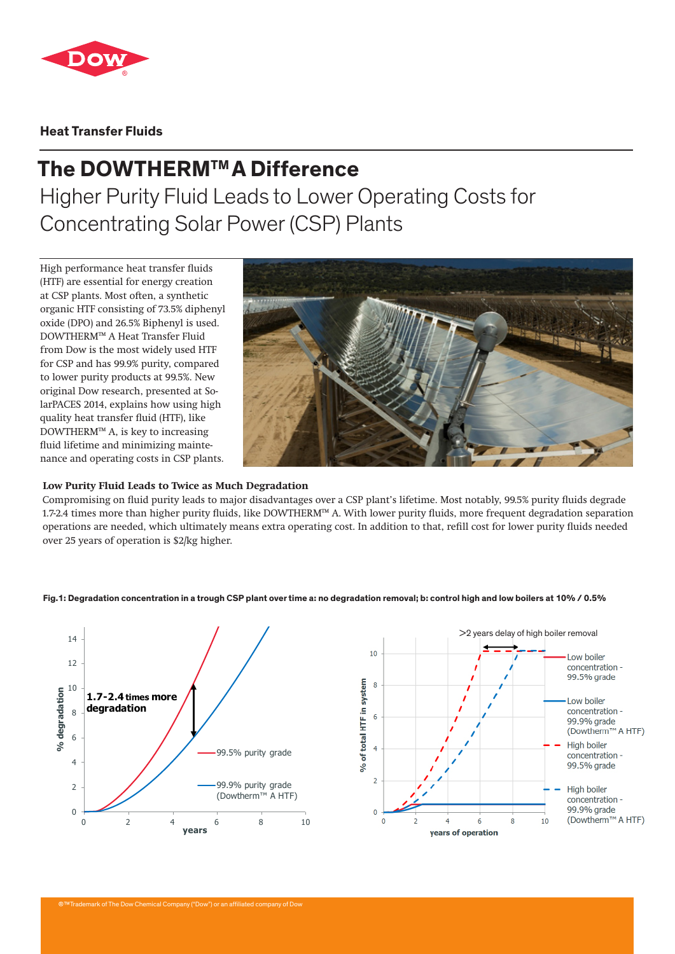

# **Heat Transfer Fluids**

# **The DOWTHERMTM A Difference**

Higher Purity Fluid Leads to Lower Operating Costs for Concentrating Solar Power (CSP) Plants

High performance heat transfer fluids (HTF) are essential for energy creation at CSP plants. Most often, a synthetic organic HTF consisting of 73.5% diphenyl oxide (DPO) and 26.5% Biphenyl is used. DOWTHERM™ A Heat Transfer Fluid from Dow is the most widely used HTF for CSP and has 99.9% purity, compared to lower purity products at 99.5%. New original Dow research, presented at SolarPACES 2014, explains how using high quality heat transfer fluid (HTF), like DOWTHERM™ A, is key to increasing fluid lifetime and minimizing maintenance and operating costs in CSP plants.



## **Low Purity Fluid Leads to Twice as Much Degradation**

Compromising on fluid purity leads to major disadvantages over a CSP plant's lifetime. Most notably, 99.5% purity fluids degrade 1.7-2.4 times more than higher purity fluids, like DOWTHERM™ A. With lower purity fluids, more frequent degradation separation operations are needed, which ultimately means extra operating cost. In addition to that, refill cost for lower purity fluids needed over 25 years of operation is \$2/kg higher.

## **Fig.1: Degradation concentration in a trough CSP plant over time a: no degradation removal; b: control high and low boilers at 10% / 0.5%**